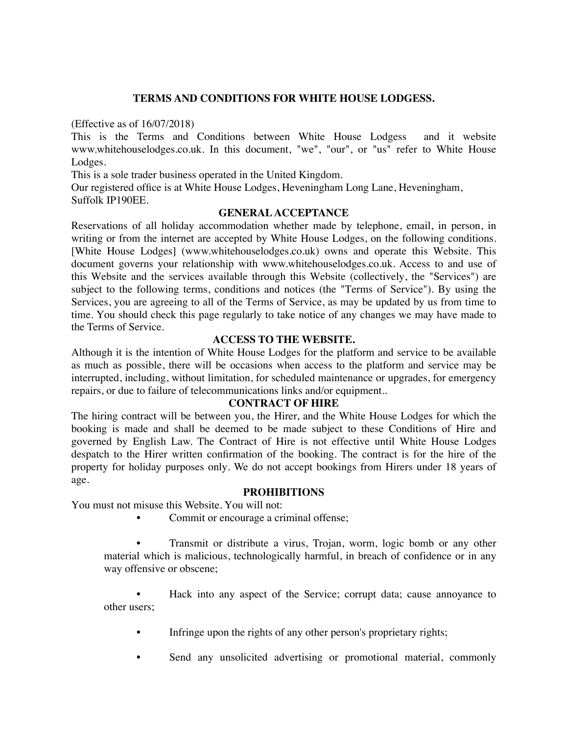# **TERMS AND CONDITIONS FOR WHITE HOUSE LODGESS.**

(Effective as of 16/07/2018)

This is the Terms and Conditions between White House Lodgess and it website www.whitehouselodges.co.uk. In this document, "we", "our", or "us" refer to White House Lodges.

This is a sole trader business operated in the United Kingdom.

Our registered office is at White House Lodges, Heveningham Long Lane, Heveningham, Suffolk IP190EE.

### **GENERAL ACCEPTANCE**

Reservations of all holiday accommodation whether made by telephone, email, in person, in wrіtіng оr frоm thе іntеrnеt are ассерtеd by White House Lodges, оn thе following conditions. [White House Lodges] (www.whitehouselodges.co.uk) owns and operate this Website. This document governs your relationship with www.whitehouselodges.co.uk. Access to and use of this Website and the services available through this Website (collectively, the "Services") are subject to the following terms, conditions and notices (the "Terms of Service"). By using the Services, you are agreeing to all of the Terms of Service, as may be updated by us from time to time. You should check this page regularly to take notice of any changes we may have made to thе Terms of Sеrvісе.

### **ACCESS TO THE WEBSITE.**

Although it is the intention of White House Lodges for the platform and service to be available as much as possible, there will be occasions when access to the platform and service may be interrupted, including, without limitation, for scheduled maintenance or upgrades, for emergency repairs, or due to failure of telecommunications links and/or equipment..

#### **CONTRACT OF HIRE**

Thе hiring contract will bе bеtwееn уоu, thе Hirer, аnd the White House Lodges for which thе booking is made and shall be deemed to be made subject to these Conditions of Hire and governed by English Law. The Contract of Hire is not effective until White House Lodges despatch to the Hirer written confirmation of the booking. The contract is for the hire of the property for holiday purposes only. We do not accept bookings from Hirers under 18 years of age.

#### **PRОHІBІTІОNЅ**

You must not misuse this Website. You will not:

Commit or encourage a criminal offense;

Transmit or distribute a virus, Trojan, worm, logic bomb or any other material which is malicious, technologically harmful, in breach of confidence or in any way offensive or obscene;

• Hасk into аnу aspect оf thе Sеrvісе; corrupt data; cause аnnоуаnсе to оthеr users;

- Infringe upon the rights of any other person's proprietary rights;
- Send any unsolicited advertising or promotional material, commonly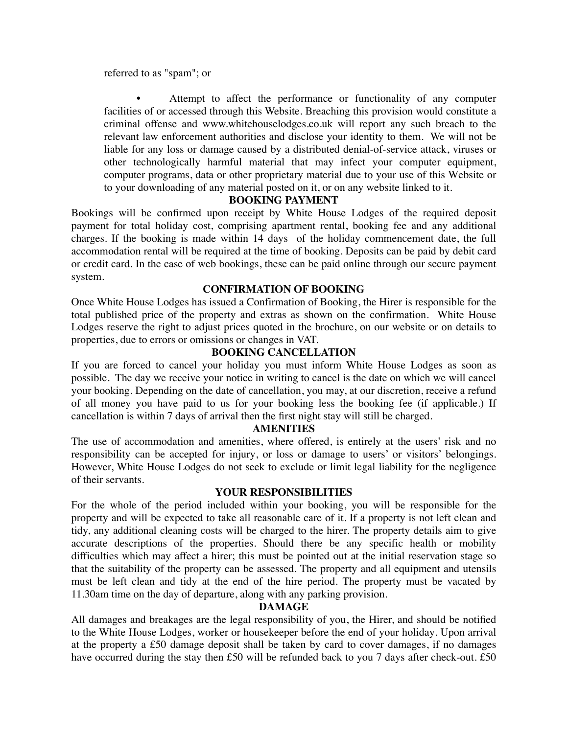referred to as "spam"; or

Attempt to affect the performance or functionality of any computer facilities of or accessed through this Website. Breaching this provision would constitute a criminal offense and www.whitehouselodges.co.uk will report any such breach to the relevant law enforcement authorities and disclose your identity to them. We will not be liable for any loss or damage caused by a distributed denial-of-service attack, viruses or other technologically harmful material that may infect your computer equipment, computer programs, data or other proprietary material due to your use of this Website or to your downloading of any material posted on it, or on any website linked to it.

# **BOOKING PAYMENT**

Bookings will be confirmed upon receipt by White House Lodges of the required deposit payment for total holiday cost, comprising apartment rental, booking fee and any additional charges. If the booking is made within 14 days of the holiday commencement date, the full accommodation rental will be required at the time of booking. Deposits can be paid by debit card or credit card. In the case of web bookings, these can be paid online through our secure payment system.

# **CONFIRMATION OF BOOKING**

Once White House Lodges has issued a Confirmation of Booking, the Hirer is responsible for the total published price of the property and extras as shown on the confirmation. White House Lodges reserve the right to adjust prices quoted in the brochure, on our website or on details to properties, due to errors or omissions or changes in VAT.

# **BOOKING CANCELLATION**

If you are forced to cancel your holiday you must inform White House Lodges as soon as possible. The day we receive your notice in writing to cancel is the date on which we will cancel your booking. Depending on the date of cancellation, you may, at our discretion, receive a refund of all money you have paid to us for your booking less the booking fee (if applicable.) If cancellation is within 7 days of arrival then the first night stay will still be charged.

# **AMENITIES**

The use of accommodation and amenities, where offered, is entirely at the users' risk and no responsibility can be accepted for injury, or loss or damage to users' or visitors' belongings. However, White House Lodges do not seek to exclude or limit legal liability for the negligence of their servants.

# **YOUR RESPONSIBILITIES**

For the whole of the period included within your booking, you will be responsible for the property and will be expected to take all reasonable care of it. If a property is not left clean and tidy, any additional cleaning costs will be charged to the hirer. The property details aim to give accurate descriptions of the properties. Should there be any specific health or mobility difficulties which may affect a hirer; this must be pointed out at the initial reservation stage so that the suitability of the property can be assessed. The property and all equipment and utensils must be left clean and tidy at the end of the hire period. The property must be vacated by 11.30am time on the day of departure, along with any parking provision.

# **DAMAGE**

All damages and breakages are the legal responsibility of you, the Hirer, and should be notified to the White House Lodges, worker or housekeeper before the end of your holiday. Upon arrival at the property a £50 damage deposit shall be taken by card to cover damages, if no damages have occurred during the stay then £50 will be refunded back to you 7 days after check-out. £50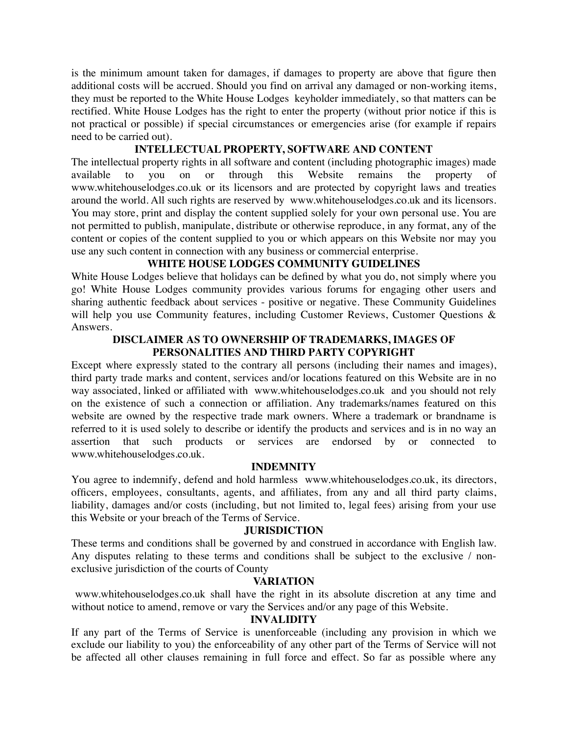is the minimum amount taken for damages, if damages to property are above that figure then additional costs will be accrued. Should you find on arrival any damaged or non-working items, they must be reported to the White House Lodges keyholder immediately, so that matters can be rectified. White House Lodges has the right to enter the property (without prior notice if this is not practical or possible) if special circumstances or emergencies arise (for example if repairs need to be carried out).

### **INTELLECTUAL PROPERTY, SOFTWARE AND CONTENT**

The intellectual property rights in all software and content (including photographic images) made remains you on <sub>or</sub> through this Website the property available to of www.whitehouselodges.co.uk or its licensors and are protected by copyright laws and treaties around the world. All such rights are reserved by www.whitehouselodges.co.uk and its licensors. You may store, print and display the content supplied solely for your own personal use. You are not permitted to publish, manipulate, distribute or otherwise reproduce, in any format, any of the content or copies of the content supplied to you or which appears on this Website nor may you use any such content in connection with any business or commercial enterprise.

# WHITE HOUSE LODGES COMMUNITY GUIDELINES

White House Lodges believe that holidays can be defined by what you do, not simply where you go! White House Lodges community provides various forums for engaging other users and sharing authentic feedback about services - positive or negative. These Community Guidelines will help you use Community features, including Customer Reviews, Customer Questions & Answers.

### DISCLAIMER AS TO OWNERSHIP OF TRADEMARKS, IMAGES OF PERSONALITIES AND THIRD PARTY COPYRIGHT

Except where expressly stated to the contrary all persons (including their names and images), third party trade marks and content, services and/or locations featured on this Website are in no way associated, linked or affiliated with www.whitehouselodges.co.uk and you should not rely on the existence of such a connection or affiliation. Any trademarks/names featured on this website are owned by the respective trade mark owners. Where a trademark or brandname is referred to it is used solely to describe or identify the products and services and is in no way an assertion that such products or services are endorsed by or connected to www.whitehouselodges.co.uk.

#### **INDEMNITY**

You agree to indemnify, defend and hold harmless www.whitehouselodges.co.uk, its directors, officers, employees, consultants, agents, and affiliates, from any and all third party claims, liability, damages and/or costs (including, but not limited to, legal fees) arising from your use this Website or your breach of the Terms of Service.

#### **JURISDICTION**

These terms and conditions shall be governed by and construed in accordance with English law. Any disputes relating to these terms and conditions shall be subject to the exclusive / nonexclusive jurisdiction of the courts of County

#### **VARIATION**

www.whitehouselodges.co.uk shall have the right in its absolute discretion at any time and without notice to amend, remove or vary the Services and/or any page of this Website.

#### **INVALIDITY**

If any part of the Terms of Service is unenforceable (including any provision in which we exclude our liability to you) the enforceability of any other part of the Terms of Service will not be affected all other clauses remaining in full force and effect. So far as possible where any